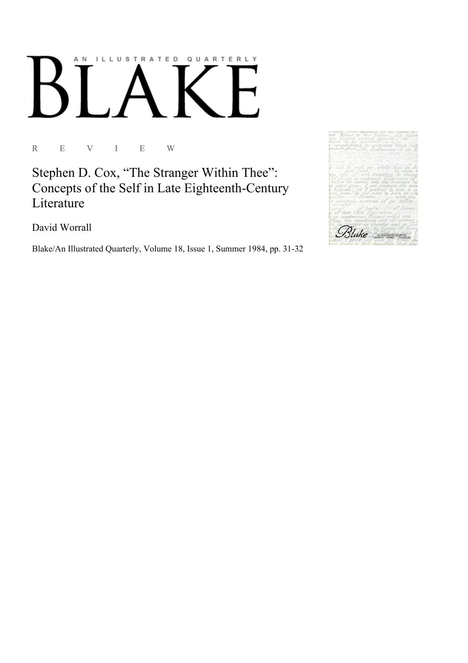## AN ILLUSTRATED QUARTERLY Ӄ  $\overline{a}$

R E V I E W

Stephen D. Cox, "The Stranger Within Thee": Concepts of the Self in Late Eighteenth-Century Literature

David Worrall

Blake/An Illustrated Quarterly, Volume 18, Issue 1, Summer 1984, pp. 31-32

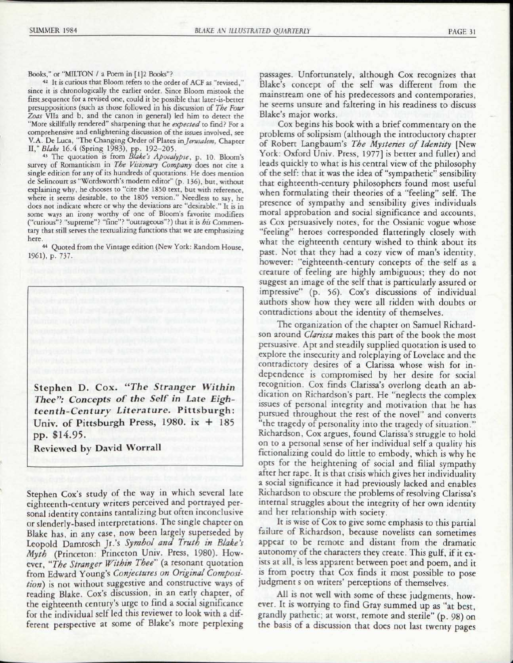Books," or "MILTON / a Poem in [1]2 Books"?

42 It is curious that Bloom refers to the order of ACF as "revised," since it is chronologically the earlier order. Since Bloom mistook the first sequence for a revised one, could it be possible that later-is-better presuppositions (such as those followed in his discussion of *The Four Zoas* Vila and b, and the canon in general) led him to detect the "More skillfully rendered" sharpening that he *expected to* find? For a comprehensive and enlightening discussion of the issues involved, see V.A. De Luca, "The Changing Order of Plates in *Jerusalem.* Chapter II," *Blake* 16.4 (Spring 1983), pp. 192-205. 43 The quotation is from *Blake's Apocalypse,* p. 10. Bloom's

survey of Romanticism in *The Visionary Company* does not cite a single edition for any of its hundreds of quotations. He does mention de Selincourt as "Wordsworth's modern editor" (p. 136), but, without explaining why, he chooses to "cite the 1850 text, but with reference, where it seems desirable, to the 1805 version." Needless to say, he does not indicate where or why the deviations are "desirable." It is in some ways an irony worthy of one of Bloom's favorite modifiers ("curious"? "supreme"? "fine"? "outrageous"?) that it is *bis* Commentary that still serves the textualizing functions that we are emphasizing here.

44 Quoted from the Vintage edition (New York: Random House, 1961), p. 737.

Stephen D. Cox. "The Stranger Within *Thee": Concepts of the Self in Late Eighteenth-Century Literature.* Pittsburgh : Univ. of Pittsburgh Press,  $1980$ . ix  $+185$ pp. \$14.95.

Reviewed by David Worrall

Stephen Cox's study of the way in which several late eighteenth-century writers perceived and portrayed personal identity contains tantalizing but often inconclusive or slenderly-based interpretations. The single chapter on Blake has, in any case, now been largely superseded by Leopold Damrosch Jr.'s *Symbol and Truth in Blake's Myth* (Princeton: Princeton Univ. Press, 1980). However, *"The Stranger Within Thee"* (a resonant quotation from Edward Young's *Conjectures on Original Composition)* is not without suggestive and constructive ways of reading Blake. Cox's discussion, in an early chapter, of the eighteenth century's urge to find a social significance for the individual self led this reviewer to look with a different perspective at some of Blake's more perplexing

passages. Unfortunately, although Cox recognizes that Blake's concept of the self was different from the mainstream one of his predecessors and contemporaries, he seems unsure and faltering in his readiness to discuss Blake's major works.

Cox begins his book with a brief commentary on the problems of solipsism (although the introductory chapter of Robert Langbaum's *The Mysteries of Identity* [New York: Oxford Univ. Press, 1977] is better and fuller) and leads quickly to what is his central view of the philosophy of the self: that it was the idea of "sympathetic" sensibility that eighteenth-century philosophers found most useful when formulating their theories of a "feeling" self. The presence of sympathy and sensibility gives individuals moral approbation and social significance and accounts, as Cox persuasively notes, for the Ossianic vogue whose "feeling" heroes corresponded flatteringly closely with what the eighteenth century wished to think about its past. Not that they had a cozy view of man's identity, however: "eighteenth-century concepts of the self as a creature of feeling are highly ambiguous; they do not suggest an image of the self that is particularly assured or impressive" (p. 56). Cox's discussions of individual authors show how they were all ridden with doubts or contradictions about the identity of themselves.

The organization of the chapter on Samuel Richardson around *Clarissa* makes this part of the book the most persuasive. Apt and steadily supplied quotation is used to explore the insecurity and roleplaying of Lovelace and the contradictory desires of a Clarissa whose wish for independence is compromised by her desire for social recognition. Cox finds Clarissa's overlong death an abdication on Richardson's part. He "neglects the complex issues of personal integrity and motivation that he has pursued throughout the rest of the novel" and converts "the tragedy of personality into the tragedy of situation." Richardson, Cox argues, found Clarissa's struggle to hold on to a personal sense of her individual self a quality his fictionalizing could do little to embody, which is why he opts for the heightening of social and filial sympathy after her rape. It is that crisis which gives her individuality a social significance it had previously lacked and enables Richardson to obscure the problems of resolving Clarissa's internal struggles about the integrity of her own identity and her relationship with society.

It is wise of Cox to give some emphasis to this partial failure of Richardson, because novelists can sometimes appear to be remote and distant from the dramatic autonomy of the characters they create. This gulf, if it exists at all, is less apparent between poet and poem, and it is from poetry that Cox finds it most possible to pose judgment s on writers' perceptions of themselves.

All is not well with some of these judgments, however. It is worrying to find Gray summed up as "at best, grandly pathetic; at worst, remote and sterile" (p. 98) on the basis of a discussion that does not last twenty pages